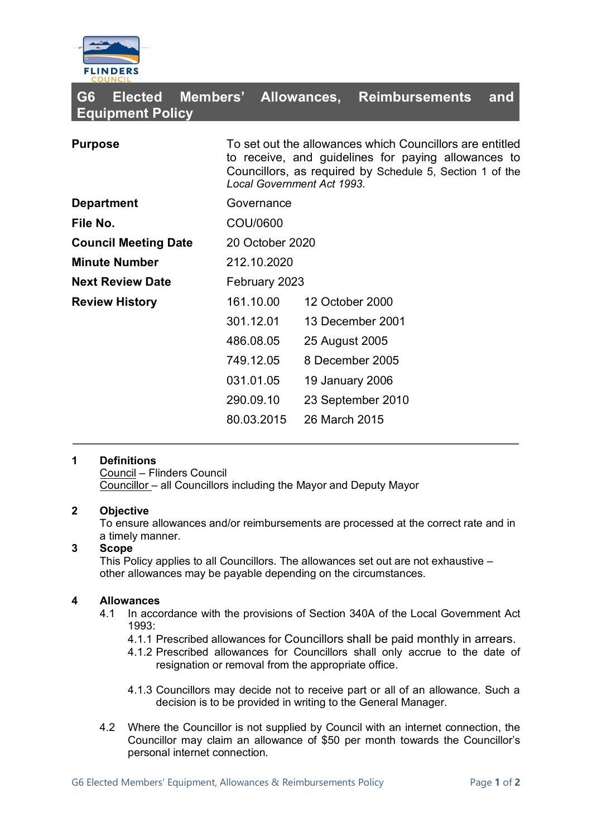

| G6<br><b>Elected</b><br><b>Equipment Policy</b> | Members' Allowances,                                                                                                                                                                                             |                  | <b>Reimbursements</b> | and |
|-------------------------------------------------|------------------------------------------------------------------------------------------------------------------------------------------------------------------------------------------------------------------|------------------|-----------------------|-----|
| <b>Purpose</b>                                  | To set out the allowances which Councillors are entitled<br>to receive, and guidelines for paying allowances to<br>Councillors, as required by Schedule 5, Section 1 of the<br><b>Local Government Act 1993.</b> |                  |                       |     |
| <b>Department</b>                               | Governance                                                                                                                                                                                                       |                  |                       |     |
| File No.                                        | COU/0600                                                                                                                                                                                                         |                  |                       |     |
| <b>Council Meeting Date</b>                     | 20 October 2020                                                                                                                                                                                                  |                  |                       |     |
| <b>Minute Number</b>                            | 212.10.2020                                                                                                                                                                                                      |                  |                       |     |
| <b>Next Review Date</b>                         | February 2023                                                                                                                                                                                                    |                  |                       |     |
| <b>Review History</b>                           | 161.10.00                                                                                                                                                                                                        | 12 October 2000  |                       |     |
|                                                 | 301.12.01                                                                                                                                                                                                        | 13 December 2001 |                       |     |
|                                                 | 486.08.05                                                                                                                                                                                                        | 25 August 2005   |                       |     |
|                                                 | 749.12.05                                                                                                                                                                                                        | 8 December 2005  |                       |     |
|                                                 | 031.01.05                                                                                                                                                                                                        | 19 January 2006  |                       |     |
|                                                 | 290.09.10                                                                                                                                                                                                        |                  | 23 September 2010     |     |
|                                                 | 80.03.2015                                                                                                                                                                                                       | 26 March 2015    |                       |     |

### **1 Definitions**

Council – Flinders Council Councillor – all Councillors including the Mayor and Deputy Mayor

### **2 Objective**

To ensure allowances and/or reimbursements are processed at the correct rate and in a timely manner.

### **3 Scope**

This Policy applies to all Councillors. The allowances set out are not exhaustive – other allowances may be payable depending on the circumstances.

### **4 Allowances**

- 4.1 In accordance with the provisions of Section 340A of the Local Government Act 1993:
	- 4.1.1 Prescribed allowances for Councillors shall be paid monthly in arrears.
	- 4.1.2 Prescribed allowances for Councillors shall only accrue to the date of resignation or removal from the appropriate office.
	- 4.1.3 Councillors may decide not to receive part or all of an allowance. Such a decision is to be provided in writing to the General Manager.
- 4.2 Where the Councillor is not supplied by Council with an internet connection, the Councillor may claim an allowance of \$50 per month towards the Councillor's personal internet connection.